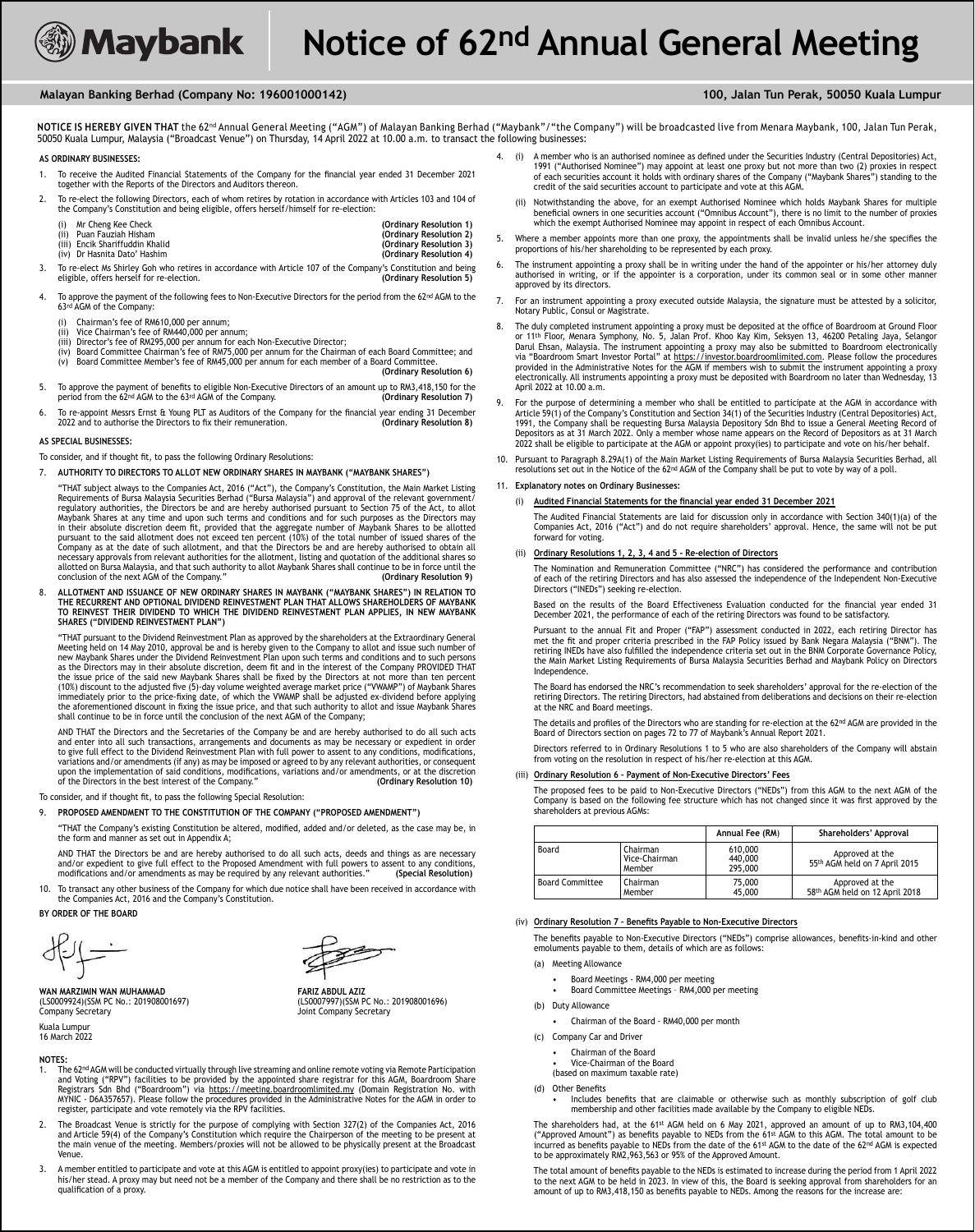# **Malayan Banking Berhad (Company No: 196001000142) 100, Jalan Tun Perak, 50050 Kuala Lumpur**

NOTICE IS HEREBY GIVEN THAT the 62<sup>nd</sup> Annual General Meeting ("AGM") of Malayan Banking Berhad ("Maybank"/"the Company") will be broadcasted live from Menara Maybank, 100, Jalan Tun Perak, 50050 Kuala Lumpur, Malaysia ("Broadcast Venue") on Thursday, 14 April 2022 at 10.00 a.m. to transact the following businesses:

#### **AS ORDINARY BUSINESSES:**

- 1. To receive the Audited Financial Statements of the Company for the financial year ended 31 December 2021 together with the Reports of the Directors and Auditors thereon.
- 2. To re-elect the following Directors, each of whom retires by rotation in accordance with Articles 103 and 104 of the Company's Constitution and being eligible, offers herself/himself for re-election:

| Mr Cheng Kee Check              | (Ordinary Resolution 1) |
|---------------------------------|-------------------------|
| (ii) Puan Fauziah Hisham        | (Ordinary Resolution 2) |
| (iii) Encik Shariffuddin Khalid | (Ordinary Resolution 3) |
| (iv) Dr Hasnita Dato' Hashim    | (Ordinary Resolution 4) |

- 3. To re-elect Ms Shirley Goh who retires in accordance with Article 107 of the Company's Constitution and being<br>(15 eligible, offers herself for re-election. eligible, offers herself for re-election.
- 4. To approve the payment of the following fees to Non-Executive Directors for the period from the 62nd AGM to the 63<sup>rd</sup> AGM of the Company:
	-
	- (i) Chairman's fee of RM610,000 per annum;<br>(ii) Vice Chairman's fee of RM440,000 per an (ii) Vice Chairman's fee of RM440,000 per annum;<br>(iii) Vice Chairman's fee of RM440,000 per annum;<br>(iii) Director's fee of RM295.000 per annum for ea
	-
	- (iii) Director's fee of RM295,000 per annum for each Non-Executive Director; (iv) Board Committee Chairman's fee of RM75,000 per annum for the Chairman of each Board Committee; and (v) Board Committee Member's fee of RM45,000 per annum for each member of a Board Committee. **(Ordinary Resolution 6)**
- 5. To approve the payment of benefits to eligible Non-Executive Directors of an amount up to RM3,418,150 for the period from the 62<sup>nd</sup> AGM to the 63<sup>rd</sup> AGM of the Company. (Ordinary Resolution 7) period from the 62<sup>nd</sup> AGM to the 63<sup>rd</sup> AGM of the Company.
- 6. To re-appoint Messrs Ernst & Young PLT as Auditors of the Company for the financial year ending 31 December<br>2022 and to authorise the Directors to fix their remuneration. (Ordinary Resolution 8) 2022 and to authorise the Directors to fix their remuneration.

### **AS SPECIAL BUSINESSES:**

To consider, and if thought fit, to pass the following Ordinary Resolutions:

#### 7. **AUTHORITY TO DIRECTORS TO ALLOT NEW ORDINARY SHARES IN MAYBANK ("MAYBANK SHARES")**

 "THAT subject always to the Companies Act, 2016 ("Act"), the Company's Constitution, the Main Market Listing Requirements of Bursa Malaysia Securities Berhad ("Bursa Malaysia") and approval of the relevant government/ regulatory authorities, the Directors be and are hereby authorised pursuant to Section 75 of the Act, to allot Maybank Shares at any time and upon such terms and conditions and for such purposes as the Directors may in their absolute discretion deem fit, provided that the aggregate number of Maybank Shares to be allotted<br>pursuant to the said allotment does not exceed ten percent (10%) of the total number of issued shares of the<br>Compan necessary approvals from relevant authorities for the allotment, listing and quotation of the additional shares so necessary approvals moni-relevant authorities for the attornent, itsting and quotation of the authorities is so<br>allotted on Bursa Malaysia, and that such authority to allot Maybank Shares shall continue to be in force unti conclusion of the next AGM of the Company."

8. **ALLOTMENT AND ISSUANCE OF NEW ORDINARY SHARES IN MAYBANK ("MAYBANK SHARES") IN RELATION TO THE RECURRENT AND OPTIONAL DIVIDEND REINVESTMENT PLAN THAT ALLOWS SHAREHOLDERS OF MAYBANK TO REINVEST THEIR DIVIDEND TO WHICH THE DIVIDEND REINVESTMENT PLAN APPLIES, IN NEW MAYBANK SHARES ("DIVIDEND REINVESTMENT PLAN")**

 "THAT pursuant to the Dividend Reinvestment Plan as approved by the shareholders at the Extraordinary General Meeting held on 14 May 2010, approval be and is hereby given to the Company to allot and issue such number of new Maybank Shares under the Dividend Reinvestment Plan upon such terms and conditions and to such persons as the Directors may in their absolute discretion, deem fit and in the interest of the Company PROVIDED THAT the issue price of the said new Maybank Shares shall be fixed by the Directors at not more than ten percent<br>(10%) discount to the adjusted five (5)-day volume weighted average market price ("VWAMP") of Maybank Shares immediately prior to the price-fixing date, of which the VWAMP shall be adjusted ex-dividend before applying<br>the aforementioned discount in fixing the issue price, and that such authority to allot and issue Maybank Shares<br>

 AND THAT the Directors and the Secretaries of the Company be and are hereby authorised to do all such acts and enter into all such transactions, arrangements and documents as may be necessary or expedient in order<br>to give full effect to the Dividend Reinvestment Plan with full power to assent to any conditions, modifications, variations and/or amendments (if any) as may be imposed or agreed to by any relevant authorities, or consequent upon the implementation of said conditions, modifi cations, variations and/or amendments, or at the discretion of the Directors in the best interest of the Company." **(Ordinary Resolution 10)**

To consider, and if thought fit, to pass the following Special Resolution:

- 9. **PROPOSED AMENDMENT TO THE CONSTITUTION OF THE COMPANY ("PROPOSED AMENDMENT")**
- "THAT the Company's existing Constitution be altered, modified, added and/or deleted, as the case may be, in the form and manner as set out in Appendix A;

AND THAT the Directors be and are hereby authorised to do all such acts, deeds and things as are necessary<br>and/or expedient to give full effect to the Proposed Amendment with full powers to assent to any conditions,<br>modifi

10. To transact any other business of the Company for which due notice shall have been received in accordance with the Companies Act, 2016 and the Company's Constitution.

### **BY ORDER OF THE BOARD**

 $\text{eff} \rightarrow$ 

**WAN MARZIMIN WAN MUHAMMAD FARIZ ABDUL AZIZ** (LS0009924)(SSM PC No.: 201908001697) Company Secretary **Company Secretary Joint Company Secretary** Kuala Lumpu 16 March 2022



- 1. The 62nd AGM will be conducted virtually through live streaming and online remote voting via Remote Participation and Voting ("RPV") facilities to be provided by the appointed share registrar for this AGM, Boardroom Share<br>Registrars Sdn Bhd ("Boardroom") via <u>https://meeting.boardroomlimited.my</u> (Domain Registration No. with MYNIC - D6A357657). Please follow the procedures provided in the Administrative Notes for the AGM in order to register, participate and vote remotely via the RPV facilities.
- 2. The Broadcast Venue is strictly for the purpose of complying with Section 327(2) of the Companies Act, 2016 and Article 59(4) of the Company's Constitution which require the Chairperson of the meeting to be present at the main venue of the meeting. Members/proxies will not be allowed to be physically present at the Broadcast Venue.
- 3. A member entitled to participate and vote at this AGM is entitled to appoint proxy(ies) to participate and vote in<br>his/her stead. A proxy may but need not be a member of the Company and there shall be no restriction as qualification of a proxy.
- 4. (i) A member who is an authorised nominee as defined under the Securities Industry (Central Depositories) Act, 1991 ("Authorised Nominee") may appoint at least one proxy but not more than two (2) proxies in respect of each securities account it holds with ordinary shares of the Company ("Maybank Shares") standing to the credit of the said securities account to participate and vote at this AGM.
	- (ii) Notwithstanding the above, for an exempt Authorised Nominee which holds Maybank Shares for multiple in one securities account ("Omnibus Account"), there is no limit to the number of proxies which the exempt Authorised Nominee may appoint in respect of each Omnibus Account.
- 5. Where a member appoints more than one proxy, the appointments shall be invalid unless he/she specifies the proportions of his/her shareholding to be represented by each proxy.
- 6. The instrument appointing a proxy shall be in writing under the hand of the appointer or his/her attorney duly authorised in writing, or if the appointer is a corporation, under its common seal or in some other manner approved by its directors.
- 7. For an instrument appointing a proxy executed outside Malaysia, the signature must be attested by a solicitor, Notary Public, Consul or Magistrate.
- 8. The duly completed instrument appointing a proxy must be deposited at the office of Boardroom at Ground Floor or 11th Floor, Menara Symphony, No. 5, Jalan Prof. Khoo Kay Kim, Seksyen 13, 46200 Petaling Jaya, Selangor Darul Ehsan, Malaysia. The instrument appointing a proxy may also be submitted to Boardroom electronically<br>via "Boardroom Smart Investor Portal" at <u>https://investor.boardroomlimited.com</u>. Please follow the procedures<br>prov .<br>electronically. All instruments appointing a proxy must be deposited with Boardroom no later than Wednesday, 13 April 2022 at 10.00 a.m.
- 9. For the purpose of determining a member who shall be entitled to participate at the AGM in accordance with Article 59(1) of the Company's Constitution and Section 34(1) of the Securities Industry (Central Depositories) Act,<br>1991, the Company shall be requesting Bursa Malaysia Depository Sdn Bhd to issue a General Meeting Record Depositors as at 31 March 2022. Only a member whose name appears on the Record of Depositors as at 31 March 2022 shall be eligible to participate at the AGM or appoint proxy(ies) to participate and vote on his/her behalf.
- 10. Pursuant to Paragraph 8.29A(1) of the Main Market Listing Requirements of Bursa Malaysia Securities Berhad, all resolutions set out in the Notice of the 62nd AGM of the Company shall be put to vote by way of a poll.
- 11. **Explanatory notes on Ordinary Businesses:**

(i) Audited Financial Statements for the financial year ended 31 December 2021

 The Audited Financial Statements are laid for discussion only in accordance with Section 340(1)(a) of the Companies Act, 2016 ("Act") and do not require shareholders' approval. Hence, the same will not be put forward for voting.

(ii) **Ordinary Resolutions 1, 2, 3, 4 and 5 - Re-election of Directors** 

 The Nomination and Remuneration Committee ("NRC") has considered the performance and contribution of each of the retiring Directors and has also assessed the independence of the Independent Non-Executive Directors ("INEDs") seeking re-election.

Based on the results of the Board Effectiveness Evaluation conducted for the financial year ended 31 December 2021, the performance of each of the retiring Directors was found to be satisfactory.

Pursuant to the annual Fit and Proper ("FAP") assessment conducted in 2022, each retiring Director has<br>met the fit and proper criteria prescribed in the FAP Policy issued by Bank Negara Malaysia ("BNM"). The retiring INEDs have also fulfilled the independence criteria set out in the BNM Corporate Governance Policy,<br>the Main Market Listing Requirements of Bursa Malaysia Securities Berhad and Maybank Policy on Directors Independence.

 The Board has endorsed the NRC's recommendation to seek shareholders' approval for the re-election of the retiring Directors. The retiring Directors, had abstained from deliberations and decisions on their re-election at the NRC and Board meetings.

The details and profiles of the Directors who are standing for re-election at the 62<sup>nd</sup> AGM are provided in the Board of Directors section on pages 72 to 77 of Maybank's Annual Report 2021.

 Directors referred to in Ordinary Resolutions 1 to 5 who are also shareholders of the Company will abstain from voting on the resolution in respect of his/her re-election at this AGM.

# (iii) **Ordinary Resolution 6 – Payment of Non-Executive Directors' Fees**

The proposed fees to be paid to Non-Executive Directors ("NEDs") from this AGM to the next AGM of the<br>Company is based on the following fee structure which has not changed since it was first approved by the shareholders at previous AGMs:

| Board<br>Chairman<br>Vice-Chairman<br>Member |                    | Annual Fee (RM)               | Shareholders' Approval                            |  |  |
|----------------------------------------------|--------------------|-------------------------------|---------------------------------------------------|--|--|
|                                              |                    | 610,000<br>440,000<br>295,000 | Approved at the<br>55th AGM held on 7 April 2015  |  |  |
| <b>Board Committee</b>                       | Chairman<br>Member | 75,000<br>45,000              | Approved at the<br>58th AGM held on 12 April 2018 |  |  |

#### (iv) Ordinary Resolution 7 - Benefits Payable to Non-Executive Directors

The benefits payable to Non-Executive Directors ("NEDs") comprise allowances, benefits-in-kind and other emoluments payable to them, details of which are as follows:

- (a) Meeting Allowance
	- Board Meetings RM4,000 per meeting Board Committee Meetings RM4,000 per meeting
	-
- (b) Duty Allowance
	- Chairman of the Board RM40,000 per month
- (c) Company Car and Driver
	- Chairman of the Board
	- Vice-Chairman of the Board
	- (based on maximum taxable rate)
- (d) Other Benefits
	- Includes benefits that are claimable or otherwise such as monthly subscription of golf club<br>membership and other facilities made available by the Company to eligible NEDs.

The shareholders had, at the 61st AGM held on 6 May 2021, approved an amount of up to RM3,104,400<br>("Approved Amount") as benefits payable to NEDs from the 61st AGM to this AGM. The total amount to be<br>incurred as benefits p to be approximately RM2,963,563 or 95% of the Approved Amount.

The total amount of benefits payable to the NEDs is estimated to increase during the period from 1 April 2022 to the next AGM to be held in 2023. In view of this, the Board is seeking approval from shareholders for an<br>amount of up to RM3,418,150 as benefits payable to NEDs. Among the reasons for the increase are: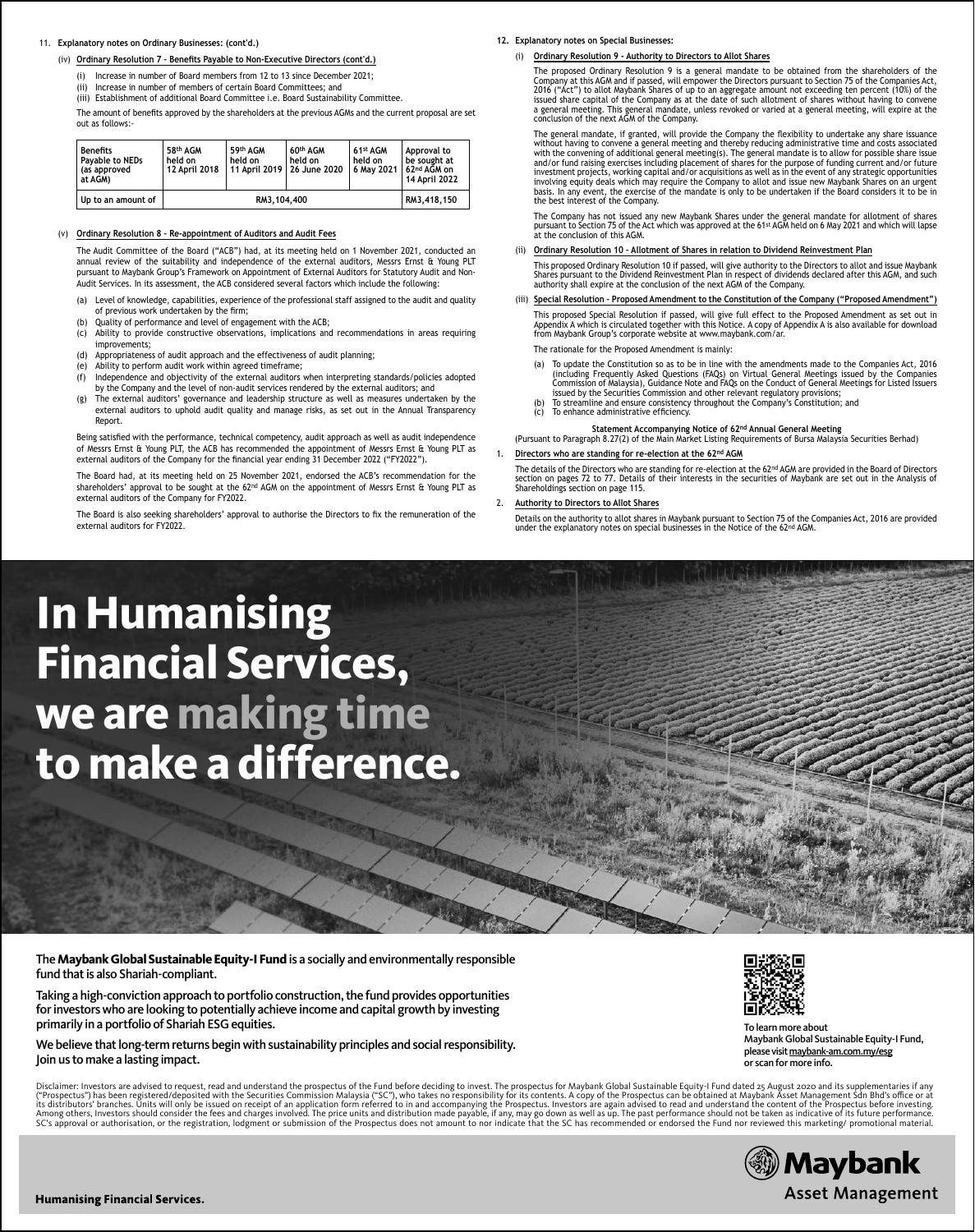# 11. **Explanatory notes on Ordinary Businesses: (cont'd.)**

### (iv) Ordinary Resolution 7 - Benefits Payable to Non-Executive Directors (cont'd.)

(i) Increase in number of Board members from 12 to 13 since December 2021;

(ii) Increase in number of members of certain Board Committees; and

(iii) Establishment of additional Board Committee i.e. Board Sustainability Committee.

The amount of benefits approved by the shareholders at the previous AGMs and the current proposal are set out as follows:

| <b>Benefits</b><br><b>Pavable to NEDs</b><br>(as approved<br>at AGM) | 58th AGM<br>held on<br>12 April 2018 | 59th AGM<br>held on | 60th AGM<br>held on<br>11 April 2019   26 June 2020 | 61st AGM<br>held on<br>6 May 2021 L | Approval to<br>be sought at<br>62nd AGM on<br>14 April 2022 |
|----------------------------------------------------------------------|--------------------------------------|---------------------|-----------------------------------------------------|-------------------------------------|-------------------------------------------------------------|
| Up to an amount of                                                   | RM3.104.400                          |                     |                                                     |                                     | RM3.418.150                                                 |

## (v) **Ordinary Resolution 8 – Re-appointment of Auditors and Audit Fees**

 The Audit Committee of the Board ("ACB") had, at its meeting held on 1 November 2021, conducted an annual review of the suitability and independence of the external auditors, Messrs Ernst & Young PLT pursuant to Maybank Group's Framework on Appointment of External Auditors for Statutory Audit and Non-Audit Services. In its assessment, the ACB considered several factors which include the following:

- (a) Level of knowledge, capabilities, experience of the professional staff assigned to the audit and quality of previous work undertaken by the firm;
- (b) Quality of performance and level of engagement with the ACB;
- (c) Ability to provide constructive observations, implications and recommendations in areas requiring improvements;
- (d) Appropriateness of audit approach and the effectiveness of audit planning;

Report.

- (e) Ability to perform audit work within agreed timeframe;<br>(f) Independence and objectivity of the external auditors Independence and objectivity of the external auditors when interpreting standards/policies adopted
- by the Company and the level of non-audit services rendered by the external auditors; and (g) The external auditors' governance and leadership structure as well as measures undertaken by the external auditors to uphold audit quality and manage risks, as set out in the Annual Transparency

Being satisfied with the performance, technical competency, audit approach as well as audit independence of Messrs Ernst & Young PLT, the ACB has recommended the appointment of Messrs Ernst & Young PLT as external auditors of the Company for the financial year ending 31 December 2022 ("FY2022").

 The Board had, at its meeting held on 25 November 2021, endorsed the ACB's recommendation for the shareholders' approval to be sought at the 62<sup>nd</sup> AGM on the appointment of Messrs Ernst & Young PLT as external auditors of the Company for FY2022.

The Board is also seeking shareholders' approval to authorise the Directors to fix the remuneration of the external auditors for FY2022.

#### **12. Explanatory notes on Special Businesses:**

(i) **Ordinary Resolution 9 - Authority to Directors to Allot Shares** 

 The proposed Ordinary Resolution 9 is a general mandate to be obtained from the shareholders of the Company at this AGM and if passed, will empower the Directors pursuant to Section 75 of the Companies Act,<br>2016 ("Act") to allot Maybank Shares of up to an aggregate amount not exceeding ten percent (10%) of the<br>issued sha a general meeting. This general mandate, unless revoked or varied at a general meeting, will expire at the conclusion of the next AGM of the Company.

The general mandate, if granted, will provide the Company the flexibility to undertake any share issuance<br>without having to convene a general meeting and thereby reducing administrative time and costs associated with the convening of additional general meeting(s). The general mandate is to allow for possible share issue<br>and/or fund raising exercises including placement of shares for the purpose of funding current and/or future<br>inv involving equity deals which may require the Company to allot and issue new Maybank Shares on an urgent<br>basis. In any event, the exercise of the mandate is only to be undertaken if the Board considers it to be in<br>the best

 The Company has not issued any new Maybank Shares under the general mandate for allotment of shares pursuant to Section 75 of the Act which was approved at the 61st AGM held on 6 May 2021 and which will lapse at the conclusion of this AGM.

## (ii) **Ordinary Resolution 10 – Allotment of Shares in relation to Dividend Reinvestment Plan**

 This proposed Ordinary Resolution 10 if passed, will give authority to the Directors to allot and issue Maybank Shares pursuant to the Dividend Reinvestment Plan in respect of dividends declared after this AGM, and such authority shall expire at the conclusion of the next AGM of the Company.

 (iii) **Special Resolution – Proposed Amendment to the Constitution of the Company ("Proposed Amendment")** This proposed Special Resolution if passed, will give full effect to the Proposed Amendment as set out in Appendix A which is circulated together with this Notice. A copy of Appendix A is also available for download from Maybank Group's corporate website at www.maybank.com/ar.

The rationale for the Proposed Amendment is mainly:

- (a) To update the Constitution so as to be in line with the amendments made to the Companies Act, 2016 (including Frequently Asked Questions (FAQs) on Virtual General Meetings issued by the Companies<br>Commission of Malaysia), Guidance Note and FAQs on the Conduct of General Meetings for Listed Issuers<br>issued by the Securitie
- (b) the securities commission and other relevant regalatory provisions,<br>To streamline and ensure consistency throughout the Company's Constitution; and  $(c)$  To enhance administrative efficiency.

**Statement Accompanying Notice of 62nd Annual General Meeting** (Pursuant to Paragraph 8.27(2) of the Main Market Listing Requirements of Bursa Malaysia Securities Berhad)

1. **Directors who are standing for re-election at the 62nd AGM**

The details of the Directors who are standing for re-election at the 62<sup>nd</sup> AGM are provided in the Board of Directors section on pages 72 to 77. Details of their interests in the securities of Maybank are set out in the Analysis of Shareholdings section on page 115.

2. **Authority to Directors to Allot Shares**

 Details on the authority to allot shares in Maybank pursuant to Section 75 of the Companies Act, 2016 are provided under the explanatory notes on special businesses in the Notice of the 62<sup>nd</sup> AGM.

# **In Humanising Financial Services, we are making time to make a difference.**

The **Maybank Global Sustainable Equity-I Fund** is a socially and environmentally responsible fund that is also Shariah-compliant.

Taking a high-conviction approach to portfolio construction, the fund provides opportunities for investors who are looking to potentially achieve income and capital growth by investing primarily in a portfolio of Shariah ESG equities.

We believe that long-term returns begin with sustainability principles and social responsibility. Join us to make a lasting impact.

Disclaimer: Investors are advised to request, read and understand the prospectus of the Fund before deciding to invest. The prospectus for Maybank Global Sustainable Equity-I Fund dated 25 August 2020 and its supplementari



To learn more about Maybank Global Sustainable Equity-I Fund, please visit maybank-am.com.my/esg or scan for more info.

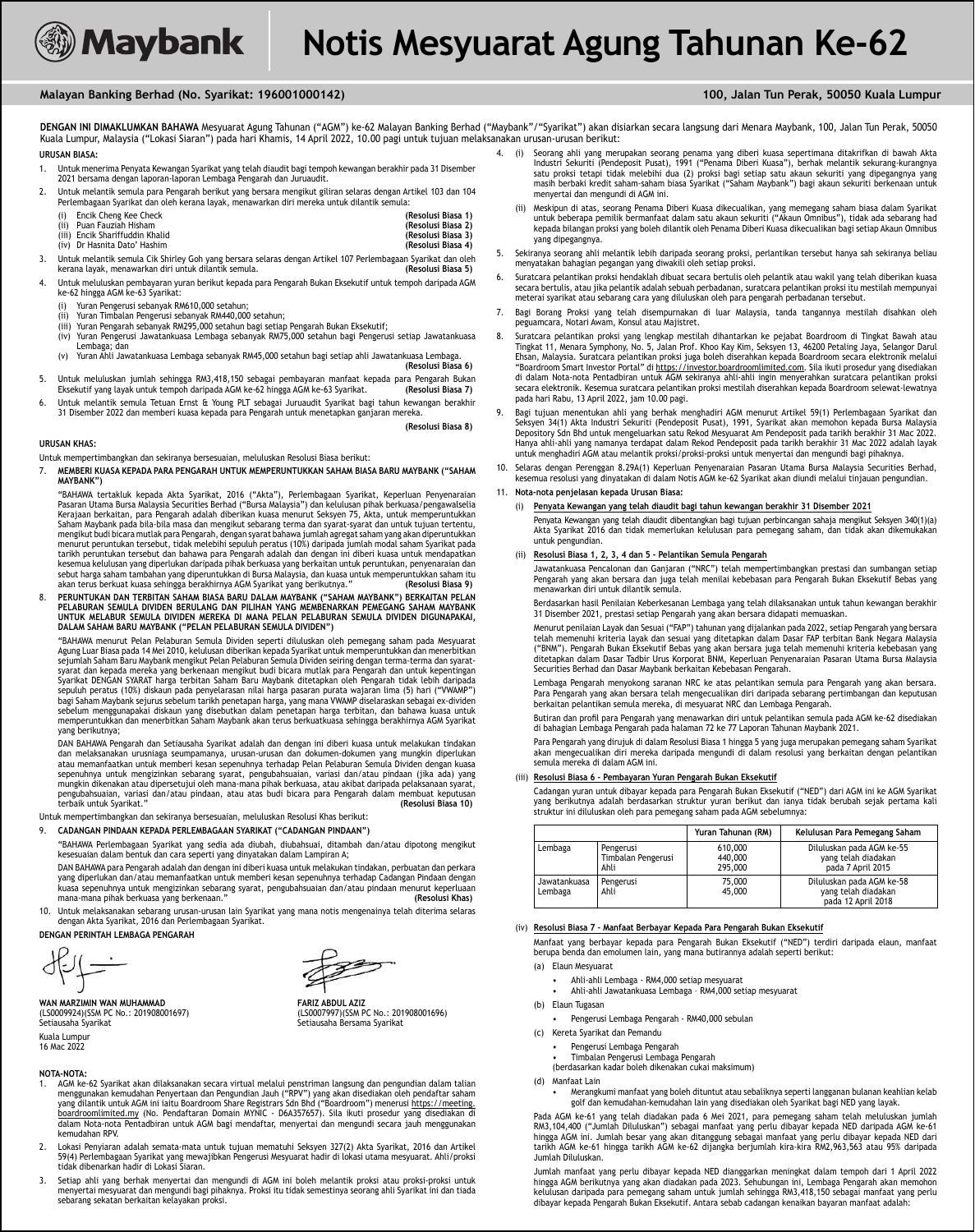# **Malayan Banking Berhad (No. Syarikat: 196001000142) 100, Jalan Tun Perak, 50050 Kuala Lumpur**

**DENGAN INI DIMAKLUMKAN BAHAWA** Mesyuarat Agung Tahunan ("AGM") ke-62 Malayan Banking Berhad ("Maybank"/"Syarikat") akan disiarkan secara langsung dari Menara Maybank, 100, Jalan Tun Perak, 50050 Kuala Lumpur, Malaysia ("Lokasi Siaran") pada hari Khamis, 14 April 2022, 10.00 pagi untuk tujuan melaksanakan urusan-urusan berikut: **URUSAN BIASA:** 4. (i) Seorang ahli yang merupakan seorang penama yang diberi kuasa sepertimana ditakrifkan di bawah Akta

- 1. Untuk menerima Penyata Kewangan Syarikat yang telah diaudit bagi tempoh kewangan berakhir pada 31 Disember 2021 bersama dengan laporan-laporan Lembaga Pengarah dan Juruaudit.
- 2. Untuk melantik semula para Pengarah berikut yang bersara mengikut giliran selaras dengan Artikel 103 dan 104 Perlembagaan Syarikat dan oleh kerana layak, menawarkan diri mereka untuk dilantik semula:
	- (i) Encik Cheng Kee Check **(Resolusi Biasa 1)** (ii) Puan Fauziah Hisham **(Resolusi Biasa 2)**
	-
- (iii) Encik Shariffuddin Khalid **(Resolusi Biasa 3)** (iv) Dr Hasnita Dato' Hashim 3. Untuk melantik semula Cik Shirley Goh yang bersara selaras dengan Artikel 107 Perlembagaan Syarikat dan oleh kerana layak, menawarkan diri untuk dilantik semula.
- 4. Untuk meluluskan pembayaran yuran berikut kepada para Pengarah Bukan Eksekutif untuk tempoh daripada AGM ke-62 hingga AGM ke-63 Syarikat:
	- Yuran Pengerusi sebanyak RM610,000 setahun;
	-
	- (ii) Yuran Timbalan Pengerusi sebanyak RM440,000 setahun;<br>(iii) Yuran Pengarah sebanyak RM295,000 setahun bagi setiap Pengarah Bukan Eksekutif;<br>(iv) Yuran Pengerusi Jawatankuasa Lembaga sebanyak RM75,000 setahun bagi P
	- Lembaga; dan (v) Yuran Ahli Jawatankuasa Lembaga sebanyak RM45,000 setahun bagi setiap ahli Jawatankuasa Lembaga.
- **(Resolusi Biasa 6)** 5. Untuk meluluskan jumlah sehingga RM3,418,150 sebagai pembayaran manfaat kepada para Pengarah Bukan Eksekutif yang layak untuk tempoh daripada AGM ke-62 hingga AGM ke-63 Syarikat. **(Resolusi Biasa 7)**
- 6. Untuk melantik semula Tetuan Ernst & Young PLT sebagai Juruaudit Syarikat bagi tahun kewangan berakhir 31 Disember 2022 dan memberi kuasa kepada para Pengarah untuk menetapkan ganjaran mereka.

**(Resolusi Biasa 8)**

# **URUSAN KHAS:**

Untuk mempertimbangkan dan sekiranya bersesuaian, meluluskan Resolusi Biasa berikut:

7. **MEMBERI KUASA KEPADA PARA PENGARAH UNTUK MEMPERUNTUKKAN SAHAM BIASA BARU MAYBANK ("SAHAM MAYBANK")**

 "BAHAWA tertakluk kepada Akta Syarikat, 2016 ("Akta"), Perlembagaan Syarikat, Keperluan Penyenaraian Pasaran Utama Bursa Malaysia Securities Berhad ("Bursa Malaysia") dan kelulusan pihak berkuasa/pengawalselia Kerajaan berkaitan, para Pengarah adalah diberikan kuasa menurut Seksyen 75, Akta, untuk memperuntukkan Saham Maybank pada bila-bila masa dan mengikut sebarang terma dan syarat-syarat dan untuk tujuan tertentu, mengikut budi bicara mutlak para Pengarah, dengan syarat bahawa jumlah agregat saham yang akan diperuntukkan menurut peruntukan tersebut, tidak melebihi sepuluh peratus (10%) daripada jumlah modal saham Syarikat pada tarikh peruntukan tersebut dan bahawa para Pengarah adalah dan dengan ini diberi kuasa untuk mendapatkan kesemua kelulusan yang diperlukan daripada pihak berkuasa yang berkaitan untuk peruntukan, penyenaraian dan<br>sebut harga saham tambahan yang diperuntukkan di Bursa Malaysia, dan kuasa untuk memperuntukkan saham itu<br>akan ter

8. **PERUNTUKAN DAN TERBITAN SAHAM BIASA BARU DALAM MAYBANK ("SAHAM MAYBANK") BERKAITAN PELAN**  PELABURAN SEMULA DIVIDEN BERULANG DAN PILIHAN YANG MEMBENARKAN PEMEGANG SAHAM MAYBANK<br>UNTUK MELABUR SEMULA DIVIDEN MEREKA DI MANA PELAN PELABURAN SEMULA DIVIDEN DIGUNAPAKAI, **DALAM SAHAM BARU MAYBANK ("PELAN PELABURAN SEMULA DIVIDEN")**

 "BAHAWA menurut Pelan Pelaburan Semula Dividen seperti diluluskan oleh pemegang saham pada Mesyuarat Agung Luar Biasa pada 14 Mei 2010, kelulusan diberikan kepada Syarikat untuk memperuntukkan dan menerbitkan<br>sejumlah Saham Baru Maybank mengikut Pelan Pelaburan Semula Dividen seiring dengan terma-terma dan syaratsyarat dan kepada mereka yang berkenaan mengikut budi bicara mutlak para Pengarah dan untuk kepentingan Syarikat DENGAN SYARAT harga terbitan Saham Baru Maybank ditetapkan oleh Pengarah tidak lebih daripada sepuluh peratus (10%) diskaun pada penyelarasan nilai harga pasaran purata wajaran lima (5) hari ("VWAMP") bagi Saham Maybank sejurus sebelum tarikh penetapan harga, yang mana VWAMP diselaraskan sebagai ex-dividen<br>sebelum menggunapakai diskaun yang disebutkan dalam penetapan harga terbitan, dan bahawa kuasa untuk<br>memperuntukkan yang berikutnya;

 DAN BAHAWA Pengarah dan Setiausaha Syarikat adalah dan dengan ini diberi kuasa untuk melakukan tindakan dan melaksanakan urusniaga seumpamanya, urusan-urusan dan dokumen-dokumen yang mungkin diperlukan atau memanfaatkan untuk memberi kesan sepenuhnya terhadap Pelan Pelaburan Semula Dividen dengan kuasa sepenuhnya untuk mengizinkan sebarang syarat, pengubahsuaian, variasi dan/atau pindaan (jika ada) yang mungkin dikenakan atau dipersetujui oleh mana-mana pihak berkuasa, atau akibat daripada pelaksanaan syarat, pengubahsuaian, variasi dan/atau pindaan, atau atas budi bicara para Pengarah dalam membuat keputusan terbaik untuk Syarikat.'

Untuk mempertimbangkan dan sekiranya bersesuaian, meluluskan Resolusi Khas berikut:

#### 9. **CADANGAN PINDAAN KEPADA PERLEMBAGAAN SYARIKAT ("CADANGAN PINDAAN")**

 "BAHAWA Perlembagaan Syarikat yang sedia ada diubah, diubahsuai, ditambah dan/atau dipotong mengikut kesesuaian dalam bentuk dan cara seperti yang dinyatakan dalam Lampiran A;

 DAN BAHAWA para Pengarah adalah dan dengan ini diberi kuasa untuk melakukan tindakan, perbuatan dan perkara yang diperlukan dan/atau memanfaatkan untuk memberi kesan sepenuhnya terhadap Cadangan Pindaan dengan kuasa sepenuhnya untuk mengizinkan sebarang syarat, pengubahsuaian dan/atau pindaan menurut keperluaan mana-mana pihak berkuasa yang berkenaan." **(Resolusi Khas)**

10. Untuk melaksanakan sebarang urusan-urusan lain Syarikat yang mana notis mengenainya telah diterima selaras dengan Akta Syarikat, 2016 dan Perlembagaan Syarikat.

**DENGAN PERINTAH LEMBAGA PENGARAH**

**WAN MARZIMIN WAN MUHAMMAD**<br>(LS0009924)(SSM PC No.: 201908001697)<br>Setiausaha Syarikat bersama Syarikat (Setiausaha Bersama Syarikat bersama Syarikat (LS0009924)(SSM PC No.: 201908001697) (LS0007997)(SSM PC No.: 201908001696) Setiausaha Syarikat Setiausaha Bersama Syarikat Kuala Lumpur 16 Mac 2022

#### **NOTA-NOTA:**

- 1. AGM ke-62 Syarikat akan dilaksanakan secara virtual melalui penstriman langsung dan pengundian dalam talian menggunakan kemudahan Penyertaan dan Pengundian Jauh ("RPV") yang akan disediakan oleh pendaftar saham<br>yang dilantik untuk AGM ini iaitu Boardroom Share Registrars Sdn Bhd ("Boardroom") menerusi <u>https://meeting.</u><br><u>boardro</u> dalam Nota-nota Pentadbiran untuk AGM bagi mendaftar, menyertai dan mengundi secara jauh menggunakan kemudahan RPV.
- 2. Lokasi Penyiaran adalah semata-mata untuk tujuan mematuhi Seksyen 327(2) Akta Syarikat, 2016 dan Artikel 59(4) Perlembagaan Syarikat yang mewajibkan Pengerusi Mesyuarat hadir di lokasi utama mesyuarat. Ahli/proksi tidak dibenarkan hadir di Lokasi Siaran.
- 3. Setiap ahli yang berhak menyertai dan mengundi di AGM ini boleh melantik proksi atau proksi-proksi untuk<br>menyertai mesyuarat dan mengundi bagi pihaknya. Proksi itu tidak semestinya seorang ahli Syarikat ini dan tiada<br>
- Industri Sekuriti (Pendeposit Pusat), 1991 ("Penama Diberi Kuasa"), berhak melantik sekurang-kurangnya<br>satu proksi tetapi tidak melebihi dua (2) proksi bagi setiap satu akaun sekuriti yang dipegangnya yang masih berbaki kredit saham-saham biasa Syarikat ("Saham Maybank") bagi akaun sekuriti berkenaan untuk menyertai dan mengundi di AGM ini.
- (ii) Meskipun di atas, seorang Penama Diberi Kuasa dikecualikan, yang memegang saham biasa dalam Syarikat untuk beberapa pemilik bermanfaat dalam satu akaun sekuriti ("Akaun Omnibus"), tidak ada sebarang had kepada bilangan proksi yang boleh dilantik oleh Penama Diberi Kuasa dikecualikan bagi setiap Akaun Omnibus yang dipegangnya.
- 5. Sekiranya seorang ahli melantik lebih daripada seorang proksi, perlantikan tersebut hanya sah sekiranya beliau menyatakan bahagian pegangan yang diwakili oleh setiap proksi.
- 6. Suratcara pelantikan proksi hendaklah dibuat secara bertulis oleh pelantik atau wakil yang telah diberikan kuasa secara bertulis, atau jika pelantik adalah sebuah perbadanan, suratcara pelantikan proksi itu mestilah mempunyai meterai syarikat atau sebarang cara yang diluluskan oleh para pengarah perbadanan tersebut.
- 7. Bagi Borang Proksi yang telah disempurnakan di luar Malaysia, tanda tangannya mestilah disahkan oleh peguamcara, Notari Awam, Konsul atau Majistret.
- 8. Suratcara pelantikan proksi yang lengkap mestilah dihantarkan ke pejabat Boardroom di Tingkat Bawah atau Tingkat 11, Menara Symphony, No. 5, Jalan Prof. Khoo Kay Kim, Seksyen 13, 46200 Petaling Jaya, Selangor Darul Ehsan, Malaysia. Suratcara pelantikan proksi juga boleh diserahkan kepada Boardroom secara elektronik melalui "Boardroom Smart Investor Portal" di <u>https://investor.boardroomlimited.com</u>. Sila ikuti prosedur yang disediakan<br>di dalam Nota-nota Pentadbiran untuk AGM sekiranya ahli-ahli ingin menyerahkan suratcara pelantikan proksi secara elektronik. Kesemua suratcara pelantikan proksi mestilah diserahkan kepada Boardroom selewat-lewatnya pada hari Rabu, 13 April 2022, jam 10.00 pagi.
- 9. Bagi tujuan menentukan ahli yang berhak menghadiri AGM menurut Artikel 59(1) Perlembagaan Syarikat dan Seksyen 34(1) Akta Industri Sekuriti (Pendeposit Pusat), 1991, Syarikat akan memohon kepada Bursa Malaysia Depository Sdn Bhd untuk mengeluarkan satu Rekod Mesyuarat Am Pendeposit pada tarikh berakhir 31 Mac 2022. Hanya ahli-ahli yang namanya terdapat dalam Rekod Pendeposit pada tarikh berakhir 31 Mac 2022 adalah layak untuk menghadiri AGM atau melantik proksi/proksi-proksi untuk menyertai dan mengundi bagi pihaknya.
- 10. Selaras dengan Perenggan 8.29A(1) Keperluan Penyenaraian Pasaran Utama Bursa Malaysia Securities Berhad, kesemua resolusi yang dinyatakan di dalam Notis AGM ke-62 Syarikat akan diundi melalui tinjauan pengundian.

# 11. **Nota-nota penjelasan kepada Urusan Biasa:**

- (i) **Penyata Kewangan yang telah diaudit bagi tahun kewangan berakhir 31 Disember 2021** Penyata Kewangan yang telah diaudit dibentangkan bagi tujuan perbincangan sahaja mengikut Seksyen 340(1)(a) Akta Syarikat 2016 dan tidak memerlukan kelulusan para pemegang saham, dan tidak akan dikemukakan
	- (ii) **Resolusi Biasa 1, 2, 3, 4 dan 5 Pelantikan Semula Pengarah**

 Jawatankuasa Pencalonan dan Ganjaran ("NRC") telah mempertimbangkan prestasi dan sumbangan setiap Pengarah yang akan bersara dan juga telah menilai kebebasan para Pengarah Bukan Eksekutif Bebas yang menawarkan diri untuk dilantik semula.

 Berdasarkan hasil Penilaian Keberkesanan Lembaga yang telah dilaksanakan untuk tahun kewangan berakhir 31 Disember 2021, prestasi setiap Pengarah yang akan bersara didapati memuaskan.

 Menurut penilaian Layak dan Sesuai ("FAP") tahunan yang dijalankan pada 2022, setiap Pengarah yang bersara telah memenuhi kriteria layak dan sesuai yang ditetapkan dalam Dasar FAP terbitan Bank Negara Malaysia<br>("BNM"). Pengarah Bukan Eksekutif Bebas yang akan bersara juga telah memenuhi kriteria kebebasan yang<br>ditetapkan dalam

 Lembaga Pengarah menyokong saranan NRC ke atas pelantikan semula para Pengarah yang akan bersara. Para Pengarah yang akan bersara telah mengecualikan diri daripada sebarang pertimbangan dan keputusan<br>berkaitan pelantikan semula mereka, di mesyuarat NRC dan Lembaga Pengarah.

Butiran dan profil para Pengarah yang menawarkan diri untuk pelantikan semula pada AGM ke-62 disediakan di bahagian Lembaga Pengarah pada halaman 72 ke 77 Laporan Tahunan Maybank 2021.

 Para Pengarah yang dirujuk di dalam Resolusi Biasa 1 hingga 5 yang juga merupakan pemegang saham Syarikat akan mengecualikan diri mereka daripada mengundi di dalam resolusi yang berkaitan dengan pelantikan semula mereka di dalam AGM ini.

# (iii) **Resolusi Biasa 6 – Pembayaran Yuran Pengarah Bukan Eksekutif**

 Cadangan yuran untuk dibayar kepada para Pengarah Bukan Eksekutif ("NED") dari AGM ini ke AGM Syarikat yang berikutnya adalah berdasarkan struktur yuran berikut dan ianya tidak berubah sejak pertama kali struktur ini diluluskan oleh para pemegang saham pada AGM sebelumnya:

|                         |                                         | Yuran Tahunan (RM)                                                                         | Kelulusan Para Pemegang Saham                                         |
|-------------------------|-----------------------------------------|--------------------------------------------------------------------------------------------|-----------------------------------------------------------------------|
| Lembaga                 | Pengerusi<br>Timbalan Pengerusi<br>Ahli | 610,000<br>440,000<br>295,000                                                              | Diluluskan pada AGM ke-55<br>yang telah diadakan<br>pada 7 April 2015 |
| Jawatankuasa<br>Lembaga | Pengerusi<br>Ahli                       | 75,000<br>Diluluskan pada AGM ke-58<br>yang telah diadakan<br>45,000<br>pada 12 April 2018 |                                                                       |

# (iv) **Resolusi Biasa 7 – Manfaat Berbayar Kepada Para Pengarah Bukan Eksekutif**

 Manfaat yang berbayar kepada para Pengarah Bukan Eksekutif ("NED") terdiri daripada elaun, manfaat berupa benda dan emolumen lain, yang mana butirannya adalah seperti berikut: (a) Elaun Mesyuarat

- - Ahli-ahli Lembaga RM4,000 setiap mesyuarat Ahli-ahli Jawatankuasa Lembaga RM4,000 setiap mesyuarat
- (b) Elaun Tugasan
	- Pengerusi Lembaga Pengarah RM40,000 sebulan
- (c) Kereta Syarikat dan Pemandu
	- Pengerusi Lembaga Pengarah
	- Timbalan Pengerusi Lembaga Pengarah
	- (berdasarkan kadar boleh dikenakan cukai maksimum)
- (d) Manfaat Lain
	- Merangkumi manfaat yang boleh dituntut atau sebaliknya seperti langganan bulanan keahlian kelab golf dan kemudahan-kemudahan lain yang disediakan oleh Syarikat bagi NED yang layak.

AGM ke-61 yang telah diadakan pada 6 Mei 2021, para pemegang saham telah meluluskan jumlah RM3,104,400 ("Jumlah Diluluskan") sebagai manfaat yang perlu dibayar kepada NED daripada AGM ke-61<br>hingga AGM ini. Jumlah besar yang akan ditanggung sebagai manfaat yang perlu dibayar kepada NED dari<br>tarikh AGM ke-61 hingg Jumlah Diluluskan.

 Jumlah manfaat yang perlu dibayar kepada NED dianggarkan meningkat dalam tempoh dari 1 April 2022 hingga AGM berikutnya yang akan diadakan pada 2023. Sehubungan ini, Lembaga Pengarah akan memohon kelulusan daripada para pemegang saham untuk jumlah sehingga RM3,418,150 sebagai manfaat yang perlu dibayar kepada Pengarah Bukan Eksekutif. Antara sebab cadangan kenaikan bayaran manfaat adalah:

# untuk pengundian.